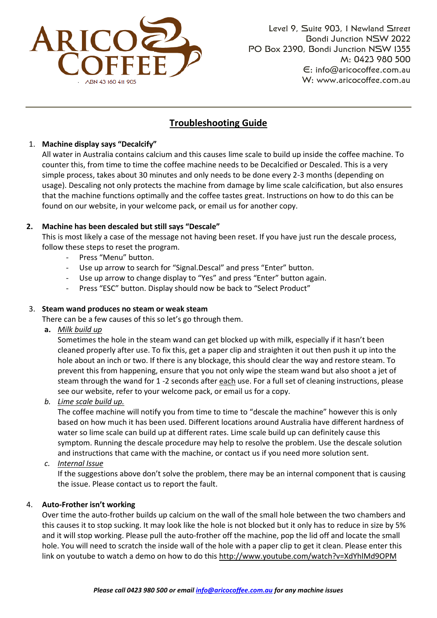

# **Troubleshooting Guide**

# 1. **Machine display says "Decalcify"**

All water in Australia contains calcium and this causes lime scale to build up inside the coffee machine. To counter this, from time to time the coffee machine needs to be Decalcified or Descaled. This is a very simple process, takes about 30 minutes and only needs to be done every 2-3 months (depending on usage). Descaling not only protects the machine from damage by lime scale calcification, but also ensures that the machine functions optimally and the coffee tastes great. Instructions on how to do this can be found on our website, in your welcome pack, or email us for another copy.

## **2. Machine has been descaled but still says "Descale"**

This is most likely a case of the message not having been reset. If you have just run the descale process, follow these steps to reset the program.

- Press "Menu" button.
- Use up arrow to search for "Signal.Descal" and press "Enter" button.
- Use up arrow to change display to "Yes" and press "Enter" button again.
- Press "ESC" button. Display should now be back to "Select Product"

# 3. **Steam wand produces no steam or weak steam**

## There can be a few causes of this so let's go through them.

**a.** *Milk build up*

Sometimes the hole in the steam wand can get blocked up with milk, especially if it hasn't been cleaned properly after use. To fix this, get a paper clip and straighten it out then push it up into the hole about an inch or two. If there is any blockage, this should clear the way and restore steam. To prevent this from happening, ensure that you not only wipe the steam wand but also shoot a jet of steam through the wand for 1 -2 seconds after each use. For a full set of cleaning instructions, please see our website, refer to your welcome pack, or email us for a copy.

*b. Lime scale build up.*

The coffee machine will notify you from time to time to "descale the machine" however this is only based on how much it has been used. Different locations around Australia have different hardness of water so lime scale can build up at different rates. Lime scale build up can definitely cause this symptom. Running the descale procedure may help to resolve the problem. Use the descale solution and instructions that came with the machine, or contact us if you need more solution sent.

*c. Internal Issue*

If the suggestions above don't solve the problem, there may be an internal component that is causing the issue. Please contact us to report the fault.

## 4. **Auto-Frother isn't working**

Over time the auto-frother builds up calcium on the wall of the small hole between the two chambers and this causes it to stop sucking. It may look like the hole is not blocked but it only has to reduce in size by 5% and it will stop working. Please pull the auto-frother off the machine, pop the lid off and locate the small hole. You will need to scratch the inside wall of the hole with a paper clip to get it clean. Please enter this link on youtube to watch a demo on how to do this<http://www.youtube.com/watch?v=XdYhlMd9OPM>